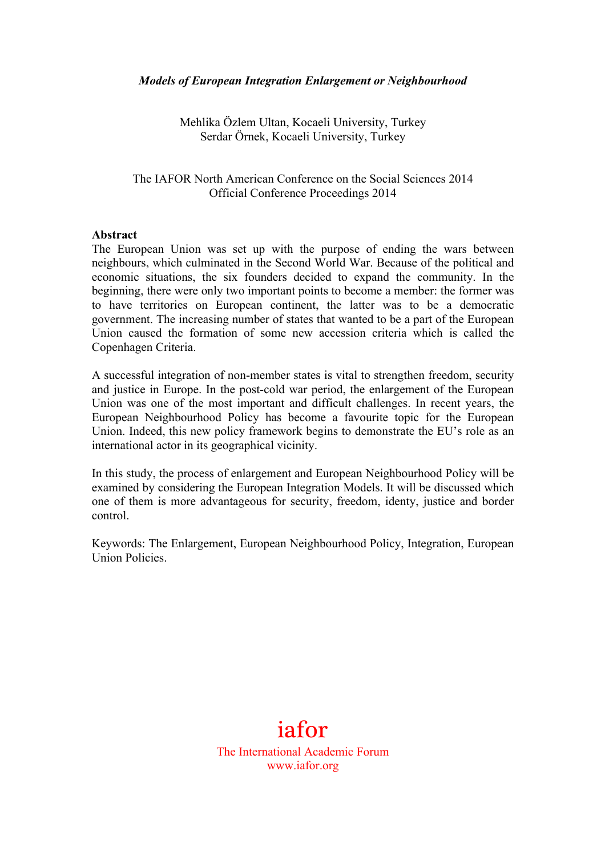Mehlika Özlem Ultan, Kocaeli University, Turkey Serdar Örnek, Kocaeli University, Turkey

The IAFOR North American Conference on the Social Sciences 2014 Official Conference Proceedings 2014

## **Abstract**

The European Union was set up with the purpose of ending the wars between neighbours, which culminated in the Second World War. Because of the political and economic situations, the six founders decided to expand the community. In the beginning, there were only two important points to become a member: the former was to have territories on European continent, the latter was to be a democratic government. The increasing number of states that wanted to be a part of the European Union caused the formation of some new accession criteria which is called the Copenhagen Criteria.

A successful integration of non-member states is vital to strengthen freedom, security and justice in Europe. In the post-cold war period, the enlargement of the European Union was one of the most important and difficult challenges. In recent years, the European Neighbourhood Policy has become a favourite topic for the European Union. Indeed, this new policy framework begins to demonstrate the EU's role as an international actor in its geographical vicinity.

In this study, the process of enlargement and European Neighbourhood Policy will be examined by considering the European Integration Models. It will be discussed which one of them is more advantageous for security, freedom, identy, justice and border control.

Keywords: The Enlargement, European Neighbourhood Policy, Integration, European Union Policies.

## iafor

The International Academic Forum www.iafor.org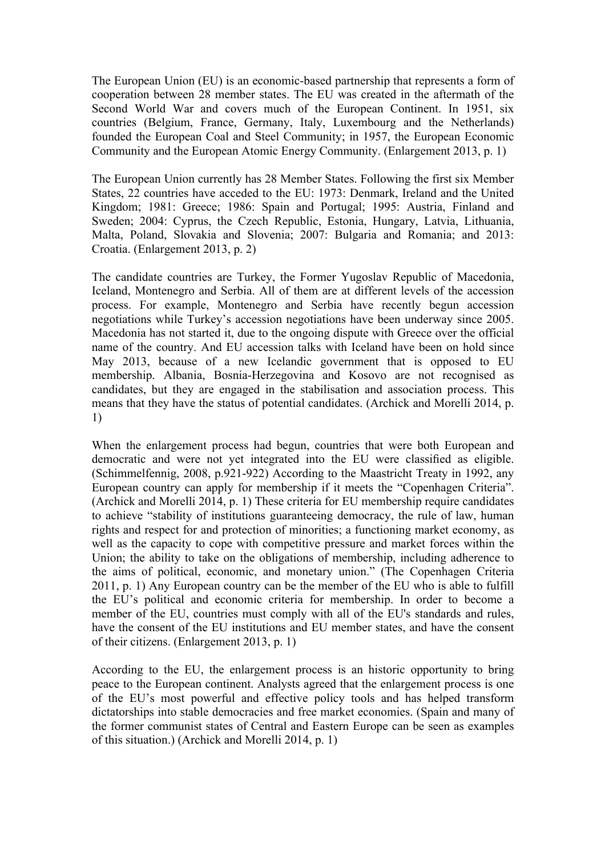The European Union (EU) is an economic-based partnership that represents a form of cooperation between 28 member states. The EU was created in the aftermath of the Second World War and covers much of the European Continent. In 1951, six countries (Belgium, France, Germany, Italy, Luxembourg and the Netherlands) founded the European Coal and Steel Community; in 1957, the European Economic Community and the European Atomic Energy Community. (Enlargement 2013, p. 1)

The European Union currently has 28 Member States. Following the first six Member States, 22 countries have acceded to the EU: 1973: Denmark, Ireland and the United Kingdom; 1981: Greece; 1986: Spain and Portugal; 1995: Austria, Finland and Sweden; 2004: Cyprus, the Czech Republic, Estonia, Hungary, Latvia, Lithuania, Malta, Poland, Slovakia and Slovenia; 2007: Bulgaria and Romania; and 2013: Croatia. (Enlargement 2013, p. 2)

The candidate countries are Turkey, the Former Yugoslav Republic of Macedonia, Iceland, Montenegro and Serbia. All of them are at different levels of the accession process. For example, Montenegro and Serbia have recently begun accession negotiations while Turkey's accession negotiations have been underway since 2005. Macedonia has not started it, due to the ongoing dispute with Greece over the official name of the country. And EU accession talks with Iceland have been on hold since May 2013, because of a new Icelandic government that is opposed to EU membership. Albania, Bosnia-Herzegovina and Kosovo are not recognised as candidates, but they are engaged in the stabilisation and association process. This means that they have the status of potential candidates. (Archick and Morelli 2014, p. 1)

When the enlargement process had begun, countries that were both European and democratic and were not yet integrated into the EU were classified as eligible. (Schimmelfennig, 2008, p.921-922) According to the Maastricht Treaty in 1992, any European country can apply for membership if it meets the "Copenhagen Criteria". (Archick and Morelli 2014, p. 1) These criteria for EU membership require candidates to achieve "stability of institutions guaranteeing democracy, the rule of law, human rights and respect for and protection of minorities; a functioning market economy, as well as the capacity to cope with competitive pressure and market forces within the Union; the ability to take on the obligations of membership, including adherence to the aims of political, economic, and monetary union." (The Copenhagen Criteria 2011, p. 1) Any European country can be the member of the EU who is able to fulfill the EU's political and economic criteria for membership. In order to become a member of the EU, countries must comply with all of the EU's standards and rules, have the consent of the EU institutions and EU member states, and have the consent of their citizens. (Enlargement 2013, p. 1)

According to the EU, the enlargement process is an historic opportunity to bring peace to the European continent. Analysts agreed that the enlargement process is one of the EU's most powerful and effective policy tools and has helped transform dictatorships into stable democracies and free market economies. (Spain and many of the former communist states of Central and Eastern Europe can be seen as examples of this situation.) (Archick and Morelli 2014, p. 1)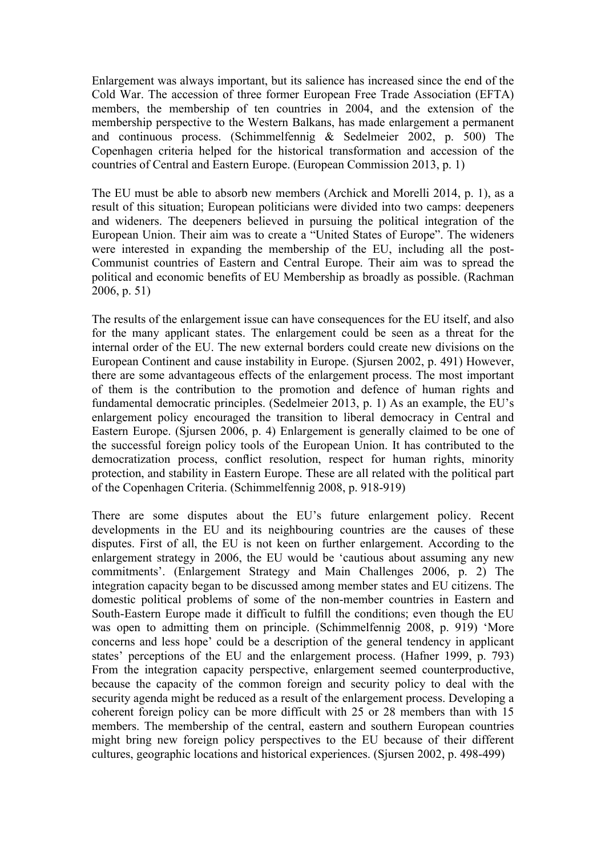Enlargement was always important, but its salience has increased since the end of the Cold War. The accession of three former European Free Trade Association (EFTA) members, the membership of ten countries in 2004, and the extension of the membership perspective to the Western Balkans, has made enlargement a permanent and continuous process. (Schimmelfennig & Sedelmeier 2002, p. 500) The Copenhagen criteria helped for the historical transformation and accession of the countries of Central and Eastern Europe. (European Commission 2013, p. 1)

The EU must be able to absorb new members (Archick and Morelli 2014, p. 1), as a result of this situation; European politicians were divided into two camps: deepeners and wideners. The deepeners believed in pursuing the political integration of the European Union. Their aim was to create a "United States of Europe". The wideners were interested in expanding the membership of the EU, including all the post-Communist countries of Eastern and Central Europe. Their aim was to spread the political and economic benefits of EU Membership as broadly as possible. (Rachman 2006, p. 51)

The results of the enlargement issue can have consequences for the EU itself, and also for the many applicant states. The enlargement could be seen as a threat for the internal order of the EU. The new external borders could create new divisions on the European Continent and cause instability in Europe. (Sjursen 2002, p. 491) However, there are some advantageous effects of the enlargement process. The most important of them is the contribution to the promotion and defence of human rights and fundamental democratic principles. (Sedelmeier 2013, p. 1) As an example, the EU's enlargement policy encouraged the transition to liberal democracy in Central and Eastern Europe. (Sjursen 2006, p. 4) Enlargement is generally claimed to be one of the successful foreign policy tools of the European Union. It has contributed to the democratization process, conflict resolution, respect for human rights, minority protection, and stability in Eastern Europe. These are all related with the political part of the Copenhagen Criteria. (Schimmelfennig 2008, p. 918-919)

There are some disputes about the EU's future enlargement policy. Recent developments in the EU and its neighbouring countries are the causes of these disputes. First of all, the EU is not keen on further enlargement. According to the enlargement strategy in 2006, the EU would be 'cautious about assuming any new commitments'. (Enlargement Strategy and Main Challenges 2006, p. 2) The integration capacity began to be discussed among member states and EU citizens. The domestic political problems of some of the non-member countries in Eastern and South-Eastern Europe made it difficult to fulfill the conditions; even though the EU was open to admitting them on principle. (Schimmelfennig 2008, p. 919) 'More concerns and less hope' could be a description of the general tendency in applicant states' perceptions of the EU and the enlargement process. (Hafner 1999, p. 793) From the integration capacity perspective, enlargement seemed counterproductive, because the capacity of the common foreign and security policy to deal with the security agenda might be reduced as a result of the enlargement process. Developing a coherent foreign policy can be more difficult with 25 or 28 members than with 15 members. The membership of the central, eastern and southern European countries might bring new foreign policy perspectives to the EU because of their different cultures, geographic locations and historical experiences. (Sjursen 2002, p. 498-499)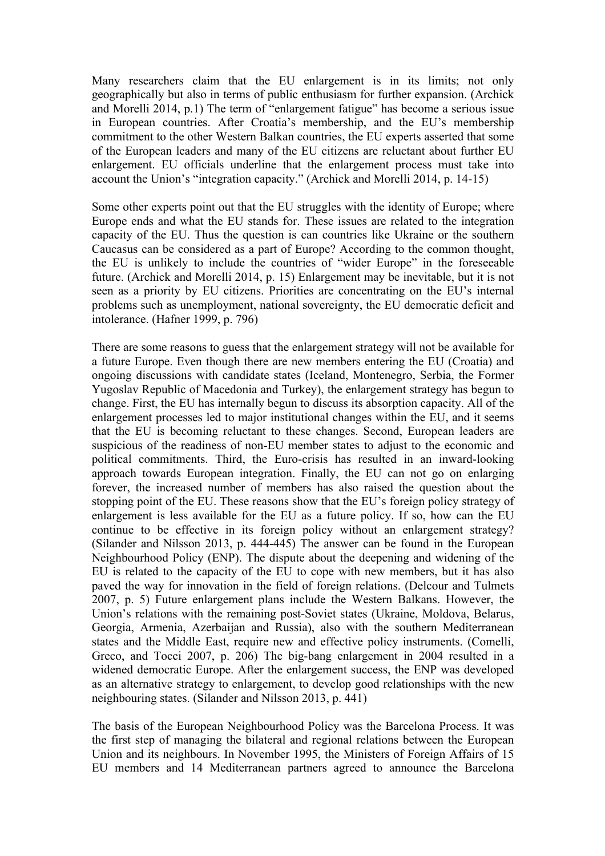Many researchers claim that the EU enlargement is in its limits; not only geographically but also in terms of public enthusiasm for further expansion. (Archick and Morelli 2014, p.1) The term of "enlargement fatigue" has become a serious issue in European countries. After Croatia's membership, and the EU's membership commitment to the other Western Balkan countries, the EU experts asserted that some of the European leaders and many of the EU citizens are reluctant about further EU enlargement. EU officials underline that the enlargement process must take into account the Union's "integration capacity." (Archick and Morelli 2014, p. 14-15)

Some other experts point out that the EU struggles with the identity of Europe; where Europe ends and what the EU stands for. These issues are related to the integration capacity of the EU. Thus the question is can countries like Ukraine or the southern Caucasus can be considered as a part of Europe? According to the common thought, the EU is unlikely to include the countries of "wider Europe" in the foreseeable future. (Archick and Morelli 2014, p. 15) Enlargement may be inevitable, but it is not seen as a priority by EU citizens. Priorities are concentrating on the EU's internal problems such as unemployment, national sovereignty, the EU democratic deficit and intolerance. (Hafner 1999, p. 796)

There are some reasons to guess that the enlargement strategy will not be available for a future Europe. Even though there are new members entering the EU (Croatia) and ongoing discussions with candidate states (Iceland, Montenegro, Serbia, the Former Yugoslav Republic of Macedonia and Turkey), the enlargement strategy has begun to change. First, the EU has internally begun to discuss its absorption capacity. All of the enlargement processes led to major institutional changes within the EU, and it seems that the EU is becoming reluctant to these changes. Second, European leaders are suspicious of the readiness of non-EU member states to adjust to the economic and political commitments. Third, the Euro-crisis has resulted in an inward-looking approach towards European integration. Finally, the EU can not go on enlarging forever, the increased number of members has also raised the question about the stopping point of the EU. These reasons show that the EU's foreign policy strategy of enlargement is less available for the EU as a future policy. If so, how can the EU continue to be effective in its foreign policy without an enlargement strategy? (Silander and Nilsson 2013, p. 444-445) The answer can be found in the European Neighbourhood Policy (ENP). The dispute about the deepening and widening of the EU is related to the capacity of the EU to cope with new members, but it has also paved the way for innovation in the field of foreign relations. (Delcour and Tulmets 2007, p. 5) Future enlargement plans include the Western Balkans. However, the Union's relations with the remaining post-Soviet states (Ukraine, Moldova, Belarus, Georgia, Armenia, Azerbaijan and Russia), also with the southern Mediterranean states and the Middle East, require new and effective policy instruments. (Comelli, Greco, and Tocci 2007, p. 206) The big-bang enlargement in 2004 resulted in a widened democratic Europe. After the enlargement success, the ENP was developed as an alternative strategy to enlargement, to develop good relationships with the new neighbouring states. (Silander and Nilsson 2013, p. 441)

The basis of the European Neighbourhood Policy was the Barcelona Process. It was the first step of managing the bilateral and regional relations between the European Union and its neighbours. In November 1995, the Ministers of Foreign Affairs of 15 EU members and 14 Mediterranean partners agreed to announce the Barcelona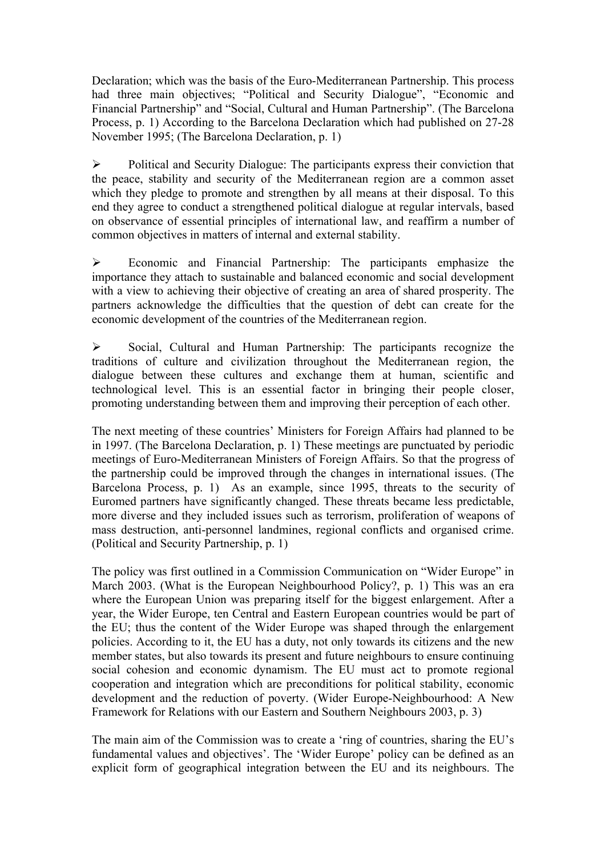Declaration; which was the basis of the Euro-Mediterranean Partnership. This process had three main objectives; "Political and Security Dialogue", "Economic and Financial Partnership" and "Social, Cultural and Human Partnership". (The Barcelona Process, p. 1) According to the Barcelona Declaration which had published on 27-28 November 1995; (The Barcelona Declaration, p. 1)

 $\triangleright$  Political and Security Dialogue: The participants express their conviction that the peace, stability and security of the Mediterranean region are a common asset which they pledge to promote and strengthen by all means at their disposal. To this end they agree to conduct a strengthened political dialogue at regular intervals, based on observance of essential principles of international law, and reaffirm a number of common objectives in matters of internal and external stability.

 $\triangleright$  Economic and Financial Partnership: The participants emphasize the importance they attach to sustainable and balanced economic and social development with a view to achieving their objective of creating an area of shared prosperity. The partners acknowledge the difficulties that the question of debt can create for the economic development of the countries of the Mediterranean region.

! Social, Cultural and Human Partnership: The participants recognize the traditions of culture and civilization throughout the Mediterranean region, the dialogue between these cultures and exchange them at human, scientific and technological level. This is an essential factor in bringing their people closer, promoting understanding between them and improving their perception of each other.

The next meeting of these countries' Ministers for Foreign Affairs had planned to be in 1997. (The Barcelona Declaration, p. 1) These meetings are punctuated by periodic meetings of Euro-Mediterranean Ministers of Foreign Affairs. So that the progress of the partnership could be improved through the changes in international issues. (The Barcelona Process, p. 1) As an example, since 1995, threats to the security of Euromed partners have significantly changed. These threats became less predictable, more diverse and they included issues such as terrorism, proliferation of weapons of mass destruction, anti-personnel landmines, regional conflicts and organised crime. (Political and Security Partnership, p. 1)

The policy was first outlined in a Commission Communication on "Wider Europe" in March 2003. (What is the European Neighbourhood Policy?, p. 1) This was an era where the European Union was preparing itself for the biggest enlargement. After a year, the Wider Europe, ten Central and Eastern European countries would be part of the EU; thus the content of the Wider Europe was shaped through the enlargement policies. According to it, the EU has a duty, not only towards its citizens and the new member states, but also towards its present and future neighbours to ensure continuing social cohesion and economic dynamism. The EU must act to promote regional cooperation and integration which are preconditions for political stability, economic development and the reduction of poverty. (Wider Europe-Neighbourhood: A New Framework for Relations with our Eastern and Southern Neighbours 2003, p. 3)

The main aim of the Commission was to create a 'ring of countries, sharing the EU's fundamental values and objectives'. The 'Wider Europe' policy can be defined as an explicit form of geographical integration between the EU and its neighbours. The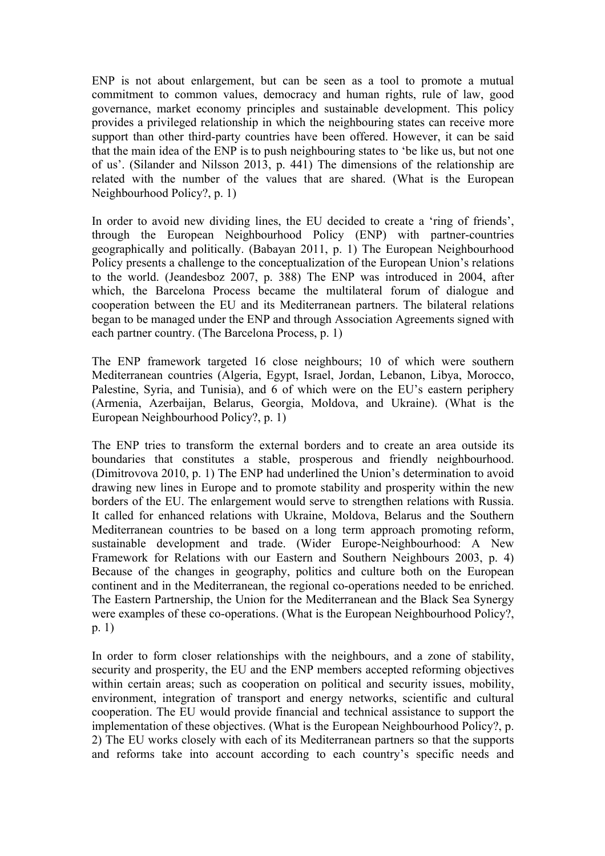ENP is not about enlargement, but can be seen as a tool to promote a mutual commitment to common values, democracy and human rights, rule of law, good governance, market economy principles and sustainable development. This policy provides a privileged relationship in which the neighbouring states can receive more support than other third-party countries have been offered. However, it can be said that the main idea of the ENP is to push neighbouring states to 'be like us, but not one of us'. (Silander and Nilsson 2013, p. 441) The dimensions of the relationship are related with the number of the values that are shared. (What is the European Neighbourhood Policy?, p. 1)

In order to avoid new dividing lines, the EU decided to create a 'ring of friends', through the European Neighbourhood Policy (ENP) with partner-countries geographically and politically. (Babayan 2011, p. 1) The European Neighbourhood Policy presents a challenge to the conceptualization of the European Union's relations to the world. (Jeandesboz 2007, p. 388) The ENP was introduced in 2004, after which, the Barcelona Process became the multilateral forum of dialogue and cooperation between the EU and its Mediterranean partners. The bilateral relations began to be managed under the ENP and through Association Agreements signed with each partner country. (The Barcelona Process, p. 1)

The ENP framework targeted 16 close neighbours; 10 of which were southern Mediterranean countries (Algeria, Egypt, Israel, Jordan, Lebanon, Libya, Morocco, Palestine, Syria, and Tunisia), and 6 of which were on the EU's eastern periphery (Armenia, Azerbaijan, Belarus, Georgia, Moldova, and Ukraine). (What is the European Neighbourhood Policy?, p. 1)

The ENP tries to transform the external borders and to create an area outside its boundaries that constitutes a stable, prosperous and friendly neighbourhood. (Dimitrovova 2010, p. 1) The ENP had underlined the Union's determination to avoid drawing new lines in Europe and to promote stability and prosperity within the new borders of the EU. The enlargement would serve to strengthen relations with Russia. It called for enhanced relations with Ukraine, Moldova, Belarus and the Southern Mediterranean countries to be based on a long term approach promoting reform, sustainable development and trade. (Wider Europe-Neighbourhood: A New Framework for Relations with our Eastern and Southern Neighbours 2003, p. 4) Because of the changes in geography, politics and culture both on the European continent and in the Mediterranean, the regional co-operations needed to be enriched. The Eastern Partnership, the Union for the Mediterranean and the Black Sea Synergy were examples of these co-operations. (What is the European Neighbourhood Policy?, p. 1)

In order to form closer relationships with the neighbours, and a zone of stability, security and prosperity, the EU and the ENP members accepted reforming objectives within certain areas; such as cooperation on political and security issues, mobility, environment, integration of transport and energy networks, scientific and cultural cooperation. The EU would provide financial and technical assistance to support the implementation of these objectives. (What is the European Neighbourhood Policy?, p. 2) The EU works closely with each of its Mediterranean partners so that the supports and reforms take into account according to each country's specific needs and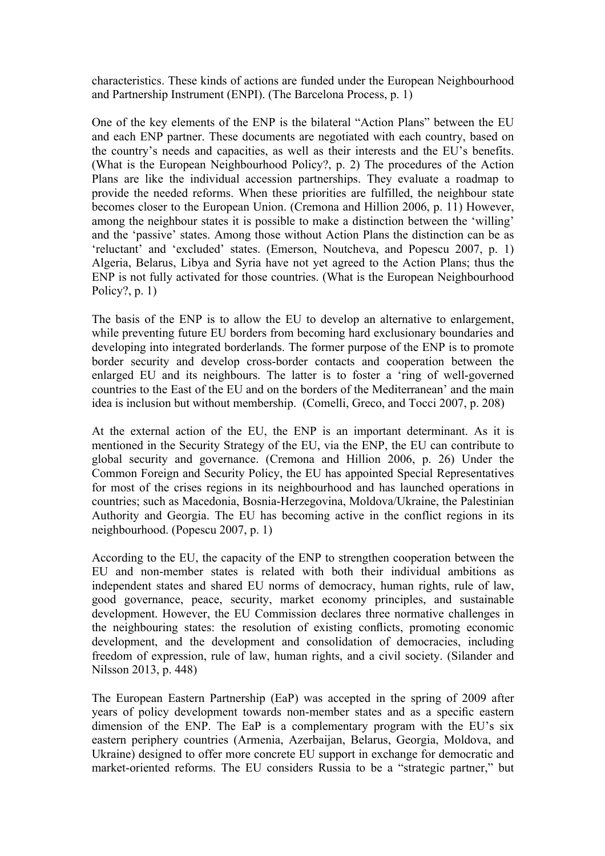characteristics. These kinds of actions are funded under the European Neighbourhood and Partnership Instrument (ENPI). (The Barcelona Process, p. 1)

One of the key elements of the ENP is the bilateral "Action Plans" between the EU and each ENP partner. These documents are negotiated with each country, based on the country's needs and capacities, as well as their interests and the EU's benefits. (What is the European Neighbourhood Policy?, p. 2) The procedures of the Action Plans are like the individual accession partnerships. They evaluate a roadmap to provide the needed reforms. When these priorities are fulfilled, the neighbour state becomes closer to the European Union. (Cremona and Hillion 2006, p. 11) However, among the neighbour states it is possible to make a distinction between the 'willing' and the 'passive' states. Among those without Action Plans the distinction can be as 'reluctant' and 'excluded' states. (Emerson, Noutcheva, and Popescu 2007, p. 1) Algeria, Belarus, Libya and Syria have not yet agreed to the Action Plans; thus the ENP is not fully activated for those countries. (What is the European Neighbourhood Policy?, p. 1)

The basis of the ENP is to allow the EU to develop an alternative to enlargement, while preventing future EU borders from becoming hard exclusionary boundaries and developing into integrated borderlands. The former purpose of the ENP is to promote border security and develop cross-border contacts and cooperation between the enlarged EU and its neighbours. The latter is to foster a 'ring of well-governed countries to the East of the EU and on the borders of the Mediterranean' and the main idea is inclusion but without membership. (Comelli, Greco, and Tocci 2007, p. 208)

At the external action of the EU, the ENP is an important determinant. As it is mentioned in the Security Strategy of the EU, via the ENP, the EU can contribute to global security and governance. (Cremona and Hillion 2006, p. 26) Under the Common Foreign and Security Policy, the EU has appointed Special Representatives for most of the crises regions in its neighbourhood and has launched operations in countries; such as Macedonia, Bosnia-Herzegovina, Moldova/Ukraine, the Palestinian Authority and Georgia. The EU has becoming active in the conflict regions in its neighbourhood. (Popescu 2007, p. 1)

According to the EU, the capacity of the ENP to strengthen cooperation between the EU and non-member states is related with both their individual ambitions as independent states and shared EU norms of democracy, human rights, rule of law, good governance, peace, security, market economy principles, and sustainable development. However, the EU Commission declares three normative challenges in the neighbouring states: the resolution of existing conflicts, promoting economic development, and the development and consolidation of democracies, including freedom of expression, rule of law, human rights, and a civil society. (Silander and Nilsson 2013, p. 448)

The European Eastern Partnership (EaP) was accepted in the spring of 2009 after years of policy development towards non-member states and as a specific eastern dimension of the ENP. The EaP is a complementary program with the EU's six eastern periphery countries (Armenia, Azerbaijan, Belarus, Georgia, Moldova, and Ukraine) designed to offer more concrete EU support in exchange for democratic and market-oriented reforms. The EU considers Russia to be a "strategic partner," but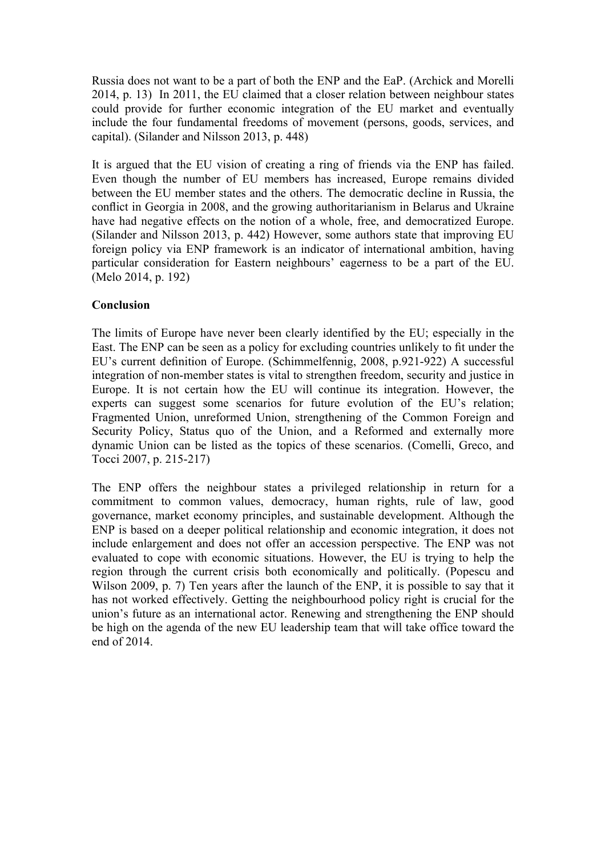Russia does not want to be a part of both the ENP and the EaP. (Archick and Morelli 2014, p. 13) In 2011, the EU claimed that a closer relation between neighbour states could provide for further economic integration of the EU market and eventually include the four fundamental freedoms of movement (persons, goods, services, and capital). (Silander and Nilsson 2013, p. 448)

It is argued that the EU vision of creating a ring of friends via the ENP has failed. Even though the number of EU members has increased, Europe remains divided between the EU member states and the others. The democratic decline in Russia, the conflict in Georgia in 2008, and the growing authoritarianism in Belarus and Ukraine have had negative effects on the notion of a whole, free, and democratized Europe. (Silander and Nilsson 2013, p. 442) However, some authors state that improving EU foreign policy via ENP framework is an indicator of international ambition, having particular consideration for Eastern neighbours' eagerness to be a part of the EU. (Melo 2014, p. 192)

## **Conclusion**

The limits of Europe have never been clearly identified by the EU; especially in the East. The ENP can be seen as a policy for excluding countries unlikely to fit under the EU's current definition of Europe. (Schimmelfennig, 2008, p.921-922) A successful integration of non-member states is vital to strengthen freedom, security and justice in Europe. It is not certain how the EU will continue its integration. However, the experts can suggest some scenarios for future evolution of the EU's relation; Fragmented Union, unreformed Union, strengthening of the Common Foreign and Security Policy, Status quo of the Union, and a Reformed and externally more dynamic Union can be listed as the topics of these scenarios. (Comelli, Greco, and Tocci 2007, p. 215-217)

The ENP offers the neighbour states a privileged relationship in return for a commitment to common values, democracy, human rights, rule of law, good governance, market economy principles, and sustainable development. Although the ENP is based on a deeper political relationship and economic integration, it does not include enlargement and does not offer an accession perspective. The ENP was not evaluated to cope with economic situations. However, the EU is trying to help the region through the current crisis both economically and politically. (Popescu and Wilson 2009, p. 7) Ten years after the launch of the ENP, it is possible to say that it has not worked effectively. Getting the neighbourhood policy right is crucial for the union's future as an international actor. Renewing and strengthening the ENP should be high on the agenda of the new EU leadership team that will take office toward the end of 2014.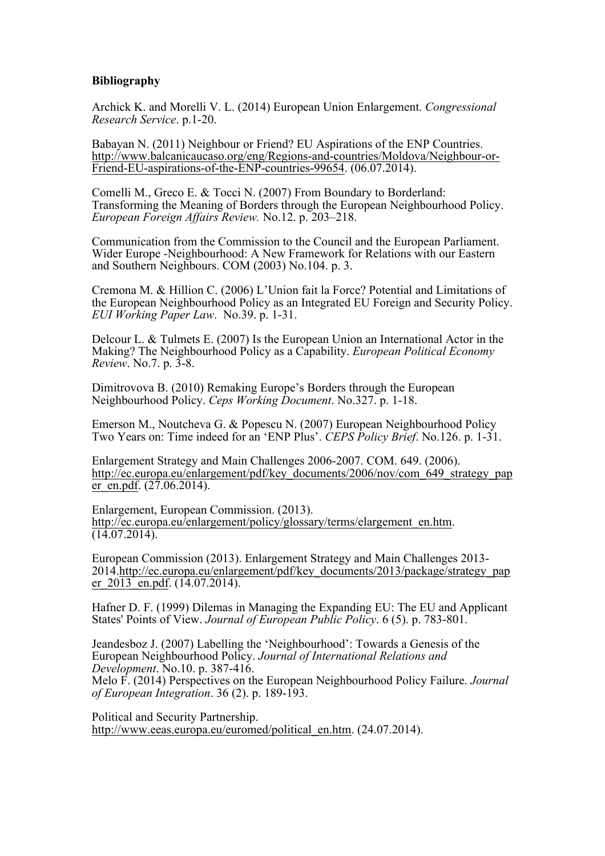## **Bibliography**

Archick K. and Morelli V. L. (2014) European Union Enlargement. *Congressional Research Service*. p.1-20.

Babayan N. (2011) Neighbour or Friend? EU Aspirations of the ENP Countries. http://www.balcanicaucaso.org/eng/Regions-and-countries/Moldova/Neighbour-or-Friend-EU-aspirations-of-the-ENP-countries-99654. (06.07.2014).

Comelli M., Greco E. & Tocci N. (2007) From Boundary to Borderland: Transforming the Meaning of Borders through the European Neighbourhood Policy. *European Foreign Affairs Review.* No.12. p. 203–218.

Communication from the Commission to the Council and the European Parliament. Wider Europe -Neighbourhood: A New Framework for Relations with our Eastern and Southern Neighbours. COM (2003) No.104. p. 3.

Cremona M. & Hillion C. (2006) L'Union fait la Force? Potential and Limitations of the European Neighbourhood Policy as an Integrated EU Foreign and Security Policy. *EUI Working Paper Law*. No.39. p. 1-31.

Delcour L. & Tulmets E. (2007) Is the European Union an International Actor in the Making? The Neighbourhood Policy as a Capability. *European Political Economy Review*. No.7. p. 3-8.

Dimitrovova B. (2010) Remaking Europe's Borders through the European Neighbourhood Policy. *Ceps Working Document*. No.327. p. 1-18.

Emerson M., Noutcheva G. & Popescu N. (2007) European Neighbourhood Policy Two Years on: Time indeed for an 'ENP Plus'. *CEPS Policy Brief*. No.126. p. 1-31.

Enlargement Strategy and Main Challenges 2006-2007. COM. 649. (2006). http://ec.europa.eu/enlargement/pdf/key\_documents/2006/nov/com\_649\_strategy\_pap er\_en.pdf.  $(27.06.2014)$ .

Enlargement, European Commission. (2013). http://ec.europa.eu/enlargement/policy/glossary/terms/elargement\_en.htm.  $(14.07.2014).$ 

European Commission (2013). Enlargement Strategy and Main Challenges 2013- 2014.http://ec.europa.eu/enlargement/pdf/key\_documents/2013/package/strategy\_pap er 2013 en.pdf. (14.07.2014).

Hafner D. F. (1999) Dilemas in Managing the Expanding EU: The EU and Applicant States' Points of View. *Journal of European Public Policy*. 6 (5). p. 783-801.

Jeandesboz J. (2007) Labelling the 'Neighbourhood': Towards a Genesis of the European Neighbourhood Policy. *Journal of International Relations and Development*. No.10. p. 387-416.

Melo F. (2014) Perspectives on the European Neighbourhood Policy Failure. *Journal of European Integration*. 36 (2). p. 189-193.

Political and Security Partnership. http://www.eeas.europa.eu/euromed/political\_en.htm. (24.07.2014).